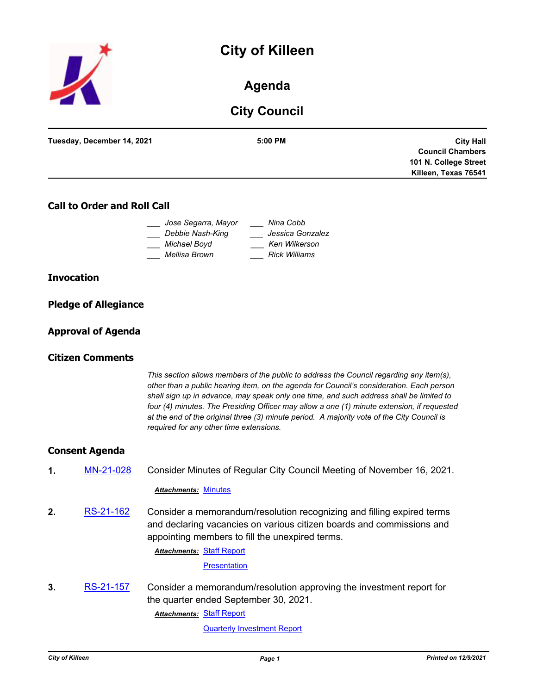



# **Agenda**

# **City Council**

| Tuesday, December 14, 2021 | $5:00$ PM | <b>City Hall</b>        |
|----------------------------|-----------|-------------------------|
|                            |           | <b>Council Chambers</b> |
|                            |           | 101 N. College Street   |
|                            |           | Killeen, Texas 76541    |
|                            |           |                         |

### **Call to Order and Roll Call**

|               | Jose Segarra, Mayor | Nina Cobb            |
|---------------|---------------------|----------------------|
|               | Debbie Nash-King    | Jessica Gonzalez     |
| Michael Boyd  |                     | Ken Wilkerson        |
| Mellisa Brown |                     | <b>Rick Williams</b> |

### **Invocation**

|  | <b>Pledge of Allegiance</b> |
|--|-----------------------------|
|  |                             |

### **Approval of Agenda**

### **Citizen Comments**

*This section allows members of the public to address the Council regarding any item(s), other than a public hearing item, on the agenda for Council's consideration. Each person shall sign up in advance, may speak only one time, and such address shall be limited to four (4) minutes. The Presiding Officer may allow a one (1) minute extension, if requested at the end of the original three (3) minute period. A majority vote of the City Council is required for any other time extensions.*

### **Consent Agenda**

**1.** [MN-21-028](http://killeen.legistar.com/gateway.aspx?m=l&id=/matter.aspx?key=5822) Consider Minutes of Regular City Council Meeting of November 16, 2021.

#### *Attachments:* [Minutes](http://killeen.legistar.com/gateway.aspx?M=F&ID=25bd7bdf-8571-4ded-9401-83dea4a9a3c2.pdf)

**2.** [RS-21-162](http://killeen.legistar.com/gateway.aspx?m=l&id=/matter.aspx?key=5829) Consider a memorandum/resolution recognizing and filling expired terms and declaring vacancies on various citizen boards and commissions and appointing members to fill the unexpired terms.

**Attachments: [Staff Report](http://killeen.legistar.com/gateway.aspx?M=F&ID=ae6dfff6-62e2-4467-9f3a-75da10d7d5b2.pdf)** 

**[Presentation](http://killeen.legistar.com/gateway.aspx?M=F&ID=4ce9938f-3404-40a6-a411-7e4b2ffaad91.pdf)** 

**3.** [RS-21-157](http://killeen.legistar.com/gateway.aspx?m=l&id=/matter.aspx?key=5805) Consider a memorandum/resolution approving the investment report for the quarter ended September 30, 2021.

**Attachments: [Staff Report](http://killeen.legistar.com/gateway.aspx?M=F&ID=8a39b3b1-c15f-4536-be0e-43af9e2dfede.pdf)** 

[Quarterly Investment Report](http://killeen.legistar.com/gateway.aspx?M=F&ID=4c41b96f-67be-470b-bd85-1aa3013241c5.pdf)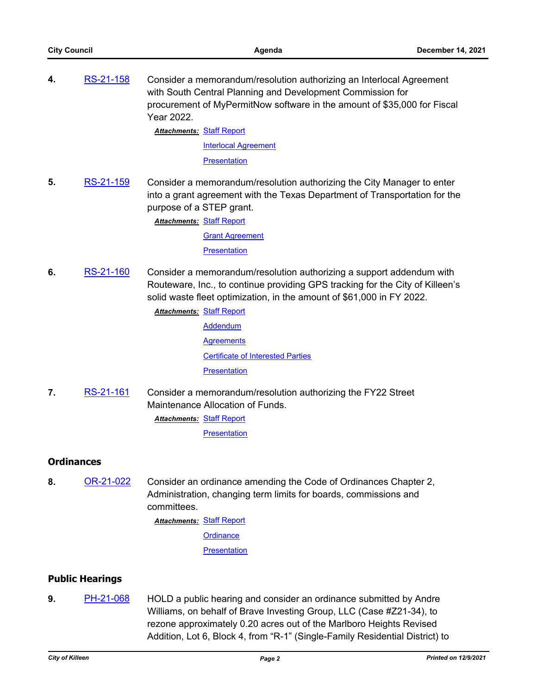**4.** [RS-21-158](http://killeen.legistar.com/gateway.aspx?m=l&id=/matter.aspx?key=5789) Consider a memorandum/resolution authorizing an Interlocal Agreement with South Central Planning and Development Commission for procurement of MyPermitNow software in the amount of \$35,000 for Fiscal Year 2022.

**Attachments: [Staff Report](http://killeen.legistar.com/gateway.aspx?M=F&ID=24d7bdbd-fadd-4d4d-a325-ab8c27c59bf6.pdf)** 

[Interlocal Agreement](http://killeen.legistar.com/gateway.aspx?M=F&ID=bc8dde2e-65e2-460f-9622-853ad78064a7.pdf) **[Presentation](http://killeen.legistar.com/gateway.aspx?M=F&ID=a0aa1e0f-7c8f-4efd-b18b-64cdfbdc5aa0.pdf)** 

**5.** [RS-21-159](http://killeen.legistar.com/gateway.aspx?m=l&id=/matter.aspx?key=5818) Consider a memorandum/resolution authorizing the City Manager to enter into a grant agreement with the Texas Department of Transportation for the purpose of a STEP grant.

> **Attachments: [Staff Report](http://killeen.legistar.com/gateway.aspx?M=F&ID=6c3e728b-522f-4227-91c5-6c24836291bf.pdf) [Grant Agreement](http://killeen.legistar.com/gateway.aspx?M=F&ID=54ceb166-339f-4f60-85b2-cc9fb39c00ae.pdf) [Presentation](http://killeen.legistar.com/gateway.aspx?M=F&ID=db2e8f01-a5b9-4c35-8139-d68e75b25b72.pdf)**

**6.** [RS-21-160](http://killeen.legistar.com/gateway.aspx?m=l&id=/matter.aspx?key=5800) Consider a memorandum/resolution authorizing a support addendum with Routeware, Inc., to continue providing GPS tracking for the City of Killeen's solid waste fleet optimization, in the amount of \$61,000 in FY 2022.

> **Attachments: [Staff Report](http://killeen.legistar.com/gateway.aspx?M=F&ID=defb71cd-f308-4901-a5cc-7fcd2f7efb60.pdf)** [Addendum](http://killeen.legistar.com/gateway.aspx?M=F&ID=67160a11-d0d8-4131-9f60-059681886358.pdf) **[Agreements](http://killeen.legistar.com/gateway.aspx?M=F&ID=0bc62967-637b-4cb6-9b26-1eb899313c74.pdf)** [Certificate of Interested Parties](http://killeen.legistar.com/gateway.aspx?M=F&ID=023bb40d-4b15-4080-a95f-e9fba2b644d9.pdf) **[Presentation](http://killeen.legistar.com/gateway.aspx?M=F&ID=543f5147-08d0-407f-b17e-93f4de953162.pdf)**

**7.** [RS-21-161](http://killeen.legistar.com/gateway.aspx?m=l&id=/matter.aspx?key=5815) Consider a memorandum/resolution authorizing the FY22 Street Maintenance Allocation of Funds. **Attachments: [Staff Report](http://killeen.legistar.com/gateway.aspx?M=F&ID=ce71d3d8-9330-46f1-9317-9080bb75090b.pdf)** 

**[Presentation](http://killeen.legistar.com/gateway.aspx?M=F&ID=fe4f6bba-6288-4b6c-84b3-9167240a89c3.pdf)** 

## **Ordinances**

**8.** [OR-21-022](http://killeen.legistar.com/gateway.aspx?m=l&id=/matter.aspx?key=5713) Consider an ordinance amending the Code of Ordinances Chapter 2, Administration, changing term limits for boards, commissions and committees.

[Staff Report](http://killeen.legistar.com/gateway.aspx?M=F&ID=dbdf7590-c3d9-4bdb-b805-3ceb2c3078b9.pdf) *Attachments:*

**[Ordinance](http://killeen.legistar.com/gateway.aspx?M=F&ID=bf87a04d-8750-4beb-835c-ac20fd835a68.pdf)** 

**[Presentation](http://killeen.legistar.com/gateway.aspx?M=F&ID=2191696c-d1b9-4b0d-a783-9a8b880510f7.pdf)** 

## **Public Hearings**

**9.** [PH-21-068](http://killeen.legistar.com/gateway.aspx?m=l&id=/matter.aspx?key=5812) HOLD a public hearing and consider an ordinance submitted by Andre Williams, on behalf of Brave Investing Group, LLC (Case #Z21-34), to rezone approximately 0.20 acres out of the Marlboro Heights Revised Addition, Lot 6, Block 4, from "R-1" (Single-Family Residential District) to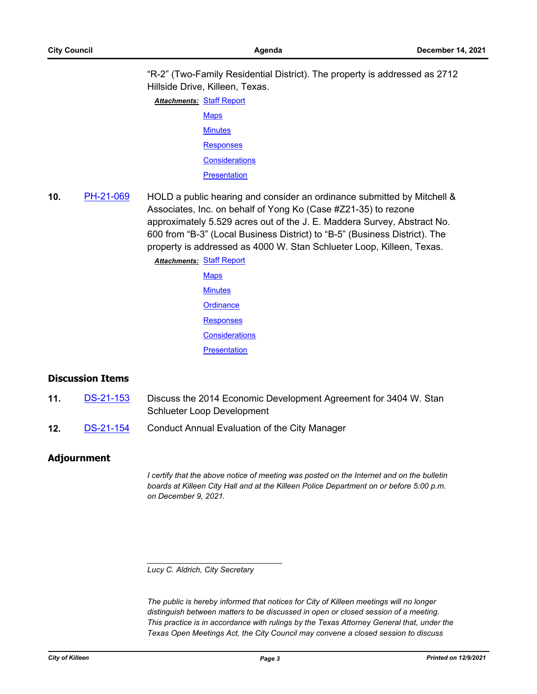"R-2" (Two-Family Residential District). The property is addressed as 2712 Hillside Drive, Killeen, Texas.

**Attachments: [Staff Report](http://killeen.legistar.com/gateway.aspx?M=F&ID=41aec295-14a7-4dd8-b21c-7992e53fe340.pdf) [Maps](http://killeen.legistar.com/gateway.aspx?M=F&ID=320b7fbf-8331-46ef-9d32-9b638ba19b3b.pdf) [Minutes](http://killeen.legistar.com/gateway.aspx?M=F&ID=67aef91a-7634-4466-bb50-a6e6512bbfef.pdf) [Responses](http://killeen.legistar.com/gateway.aspx?M=F&ID=5b209d05-04dd-422f-96a8-d00060e4f9a6.pdf) [Considerations](http://killeen.legistar.com/gateway.aspx?M=F&ID=91c32cdb-56e9-4db2-abce-92a5d7cf1442.pdf) [Presentation](http://killeen.legistar.com/gateway.aspx?M=F&ID=7abcda91-4aa8-418c-9c3c-f5fd1a10e06c.pdf)** 

**10.** [PH-21-069](http://killeen.legistar.com/gateway.aspx?m=l&id=/matter.aspx?key=5813) HOLD a public hearing and consider an ordinance submitted by Mitchell & Associates, Inc. on behalf of Yong Ko (Case #Z21-35) to rezone approximately 5.529 acres out of the J. E. Maddera Survey, Abstract No. 600 from "B-3" (Local Business District) to "B-5" (Business District). The property is addressed as 4000 W. Stan Schlueter Loop, Killeen, Texas.

> **Attachments: [Staff Report](http://killeen.legistar.com/gateway.aspx?M=F&ID=9a63eaa5-7909-466c-b0c2-a338d89f2e29.pdf) [Maps](http://killeen.legistar.com/gateway.aspx?M=F&ID=ac8414a1-4152-4451-8863-2d3e4c4d2b4b.pdf) [Minutes](http://killeen.legistar.com/gateway.aspx?M=F&ID=7689b999-cddb-4520-9ee2-ade3f5dd4fe5.pdf) [Ordinance](http://killeen.legistar.com/gateway.aspx?M=F&ID=7da8b489-7684-4e1c-9494-db55f1535ba9.pdf) [Responses](http://killeen.legistar.com/gateway.aspx?M=F&ID=32602d43-cce4-466f-9a90-a40dad5e75d1.pdf) [Considerations](http://killeen.legistar.com/gateway.aspx?M=F&ID=266842df-279d-4838-903f-01755fc7c9af.pdf) [Presentation](http://killeen.legistar.com/gateway.aspx?M=F&ID=e510f511-5020-4e0d-82f4-6477bc4ca962.pdf)**

### **Discussion Items**

- **11.** [DS-21-153](http://killeen.legistar.com/gateway.aspx?m=l&id=/matter.aspx?key=5859) Discuss the 2014 Economic Development Agreement for 3404 W. Stan Schlueter Loop Development
- **12.** [DS-21-154](http://killeen.legistar.com/gateway.aspx?m=l&id=/matter.aspx?key=5824) Conduct Annual Evaluation of the City Manager

### **Adjournment**

*I certify that the above notice of meeting was posted on the Internet and on the bulletin boards at Killeen City Hall and at the Killeen Police Department on or before 5:00 p.m. on December 9, 2021.*

#### *Lucy C. Aldrich, City Secretary*

*\_\_\_\_\_\_\_\_\_\_\_\_\_\_\_\_\_\_\_\_\_\_\_\_\_\_\_\_\_\_\_*

*The public is hereby informed that notices for City of Killeen meetings will no longer distinguish between matters to be discussed in open or closed session of a meeting. This practice is in accordance with rulings by the Texas Attorney General that, under the Texas Open Meetings Act, the City Council may convene a closed session to discuss*